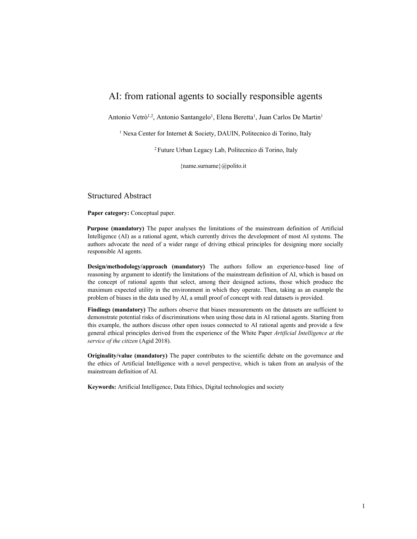# AI: from rational agents to socially responsible agents

Antonio Vetrò<sup>1,2</sup>, Antonio Santangelo<sup>1</sup>, Elena Beretta<sup>1</sup>, Juan Carlos De Martin<sup>1</sup>

<sup>1</sup> Nexa Center for Internet & Society, DAUIN, Politecnico di Torino, Italy

2 Future Urban Legacy Lab, Politecnico di Torino, Italy

{name.surname}@polito.it

Structured Abstract

**Paper category:** Conceptual paper.

**Purpose (mandatory)** The paper analyses the limitations of the mainstream definition of Artificial Intelligence (AI) as a rational agent, which currently drives the development of most AI systems. The authors advocate the need of a wider range of driving ethical principles for designing more socially responsible AI agents.

**Design/methodology/approach (mandatory)** The authors follow an experience-based line of reasoning by argument to identify the limitations of the mainstream definition of AI, which is based on the concept of rational agents that select, among their designed actions, those which produce the maximum expected utility in the environment in which they operate. Then, taking as an example the problem of biases in the data used by AI, a small proof of concept with real datasets is provided.

**Findings (mandatory)** The authors observe that biases measurements on the datasets are sufficient to demonstrate potential risks of discriminations when using those data in AI rational agents. Starting from this example, the authors discuss other open issues connected to AI rational agents and provide a few general ethical principles derived from the experience of the White Paper *Artificial Intelligence at the service of the citizen* (Agid 2018).

**Originality/value (mandatory)** The paper contributes to the scientific debate on the governance and the ethics of Artificial Intelligence with a novel perspective, which is taken from an analysis of the mainstream definition of AI.

**Keywords:** Artificial Intelligence, Data Ethics, Digital technologies and society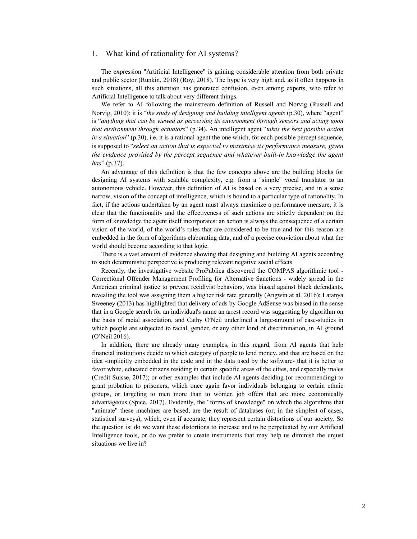# 1. What kind of rationality for AI systems?

The expression "Artificial Intelligence" is gaining considerable attention from both private and public sector (Runkin, 2018) (Roy, 2018). The hype is very high and, as it often happens in such situations, all this attention has generated confusion, even among experts, who refer to Artificial Intelligence to talk about very different things.

We refer to AI following the mainstream definition of Russell and Norvig (Russell and Norvig, 2010): it is "*the study of designing and building intelligent agents* (p.30), where "agent" is "*anything that can be viewed as perceiving its environment through sensors and acting upon that environment through actuators*" (p.34). An intelligent agent "*takes the best possible action in a situation*" (p.30), i.e. it is a rational agent the one which, for each possible percept sequence, is supposed to "*select an action that is expected to maximise its performance measure, given the evidence provided by the percept sequence and whatever built-in knowledge the agent has*" (p.37).

An advantage of this definition is that the few concepts above are the building blocks for designing AI systems with scalable complexity, e.g. from a "simple" vocal translator to an autonomous vehicle. However, this definition of AI is based on a very precise, and in a sense narrow, vision of the concept of intelligence, which is bound to a particular type of rationality. In fact, if the actions undertaken by an agent must always maximize a performance measure, it is clear that the functionality and the effectiveness of such actions are strictly dependent on the form of knowledge the agent itself incorporates: an action is always the consequence of a certain vision of the world, of the world's rules that are considered to be true and for this reason are embedded in the form of algorithms elaborating data, and of a precise conviction about what the world should become according to that logic.

There is a vast amount of evidence showing that designing and building AI agents according to such deterministic perspective is producing relevant negative social effects.

Recently, the investigative website ProPublica discovered the COMPAS algorithmic tool - Correctional Offender Management Profiling for Alternative Sanctions - widely spread in the American criminal justice to prevent recidivist behaviors, was biased against black defendants, revealing the tool was assigning them a higher risk rate generally (Angwin at al. 2016); Latanya Sweeney (2013) has highlighted that delivery of ads by Google AdSense was biased in the sense that in a Google search for an individual's name an arrest record was suggesting by algorithm on the basis of racial association, and Cathy O'Neil underlined a large-amount of case-studies in which people are subjected to racial, gender, or any other kind of discrimination, in AI ground (O'Neil 2016).

In addition, there are already many examples, in this regard, from AI agents that help financial institutions decide to which category of people to lend money, and that are based on the idea -implicitly embedded in the code and in the data used by the software- that it is better to favor white, educated citizens residing in certain specific areas of the cities, and especially males (Credit Suisse, 2017); or other examples that include AI agents deciding (or recommending) to grant probation to prisoners, which once again favor individuals belonging to certain ethnic groups, or targeting to men more than to women job offers that are more economically advantageous (Spice, 2017). Evidently, the "forms of knowledge" on which the algorithms that "animate" these machines are based, are the result of databases (or, in the simplest of cases, statistical surveys), which, even if accurate, they represent certain distortions of our society. So the question is: do we want these distortions to increase and to be perpetuated by our Artificial Intelligence tools, or do we prefer to create instruments that may help us diminish the unjust situations we live in?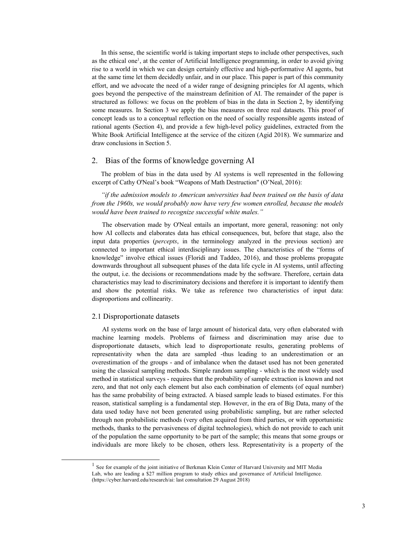In this sense, the scientific world is taking important steps to include other perspectives, such as the ethical one<sup>1</sup>, at the center of Artificial Intelligence programming, in order to avoid giving rise to a world in which we can design certainly effective and high-performative AI agents, but at the same time let them decidedly unfair, and in our place. This paper is part of this community effort, and we advocate the need of a wider range of designing principles for AI agents, which goes beyond the perspective of the mainstream definition of AI. The remainder of the paper is structured as follows: we focus on the problem of bias in the data in Section 2, by identifying some measures. In Section 3 we apply the bias measures on three real datasets. This proof of concept leads us to a conceptual reflection on the need of socially responsible agents instead of rational agents (Section 4), and provide a few high-level policy guidelines, extracted from the White Book Artificial Intelligence at the service of the citizen (Agid 2018). We summarize and draw conclusions in Section 5.

# 2. Bias of the forms of knowledge governing AI

The problem of bias in the data used by AI systems is well represented in the following excerpt of Cathy O'Neal's book "Weapons of Math Destruction" (O'Neal, 2016):

*"if the admission models to American universities had been trained on the basis of data from the 1960s, we would probably now have very few women enrolled, because the models would have been trained to recognize successful white males."*

The observation made by O'Neal entails an important, more general, reasoning: not only how AI collects and elaborates data has ethical consequences, but, before that stage, also the input data properties (*percepts*, in the terminology analyzed in the previous section) are connected to important ethical interdisciplinary issues. The characteristics of the "forms of knowledge" involve ethical issues (Floridi and Taddeo, 2016), and those problems propagate downwards throughout all subsequent phases of the data life cycle in AI systems, until affecting the output, i.e. the decisions or recommendations made by the software. Therefore, certain data characteristics may lead to discriminatory decisions and therefore it is important to identify them and show the potential risks. We take as reference two characteristics of input data: disproportions and collinearity.

#### 2.1 Disproportionate datasets

AI systems work on the base of large amount of historical data, very often elaborated with machine learning models. Problems of fairness and discrimination may arise due to disproportionate datasets, which lead to disproportionate results, generating problems of representativity when the data are sampled -thus leading to an underestimation or an overestimation of the groups - and of imbalance when the dataset used has not been generated using the classical sampling methods. Simple random sampling - which is the most widely used method in statistical surveys - requires that the probability of sample extraction is known and not zero, and that not only each element but also each combination of elements (of equal number) has the same probability of being extracted. A biased sample leads to biased estimates. For this reason, statistical sampling is a fundamental step. However, in the era of Big Data, many of the data used today have not been generated using probabilistic sampling, but are rather selected through non probabilistic methods (very often acquired from third parties, or with opportunistic methods, thanks to the pervasiveness of digital technologies), which do not provide to each unit of the population the same opportunity to be part of the sample; this means that some groups or individuals are more likely to be chosen, others less. Representativity is a property of the

<sup>&</sup>lt;sup>1</sup> See for example of the joint initiative of Berkman Klein Center of Harvard University and MIT Media Lab, who are leading a \$27 million program to study ethics and governance of Artificial Intelligence. (https://cyber.harvard.edu/research/ai: last consultation 29 August 2018)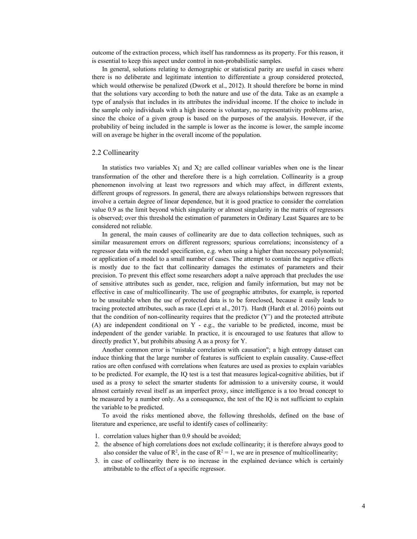outcome of the extraction process, which itself has randomness as its property. For this reason, it is essential to keep this aspect under control in non-probabilistic samples.

In general, solutions relating to demographic or statistical parity are useful in cases where there is no deliberate and legitimate intention to differentiate a group considered protected, which would otherwise be penalized (Dwork et al., 2012). It should therefore be borne in mind that the solutions vary according to both the nature and use of the data. Take as an example a type of analysis that includes in its attributes the individual income. If the choice to include in the sample only individuals with a high income is voluntary, no representativity problems arise, since the choice of a given group is based on the purposes of the analysis. However, if the probability of being included in the sample is lower as the income is lower, the sample income will on average be higher in the overall income of the population.

## 2.2 Collinearity

In statistics two variables  $X_1$  and  $X_2$  are called collinear variables when one is the linear transformation of the other and therefore there is a high correlation. Collinearity is a group phenomenon involving at least two regressors and which may affect, in different extents, different groups of regressors. In general, there are always relationships between regressors that involve a certain degree of linear dependence, but it is good practice to consider the correlation value 0.9 as the limit beyond which singularity or almost singularity in the matrix of regressors is observed; over this threshold the estimation of parameters in Ordinary Least Squares are to be considered not reliable.

In general, the main causes of collinearity are due to data collection techniques, such as similar measurement errors on different regressors; spurious correlations; inconsistency of a regressor data with the model specification, e.g. when using a higher than necessary polynomial; or application of a model to a small number of cases. The attempt to contain the negative effects is mostly due to the fact that collinearity damages the estimates of parameters and their precision. To prevent this effect some researchers adopt a naïve approach that precludes the use of sensitive attributes such as gender, race, religion and family information, but may not be effective in case of multicollinearity. The use of geographic attributes, for example, is reported to be unsuitable when the use of protected data is to be foreclosed, because it easily leads to tracing protected attributes, such as race (Lepri et al., 2017). Hardt (Hardt et al. 2016) points out that the condition of non-collinearity requires that the predictor (Y') and the protected attribute (A) are independent conditional on Y - e.g., the variable to be predicted, income, must be independent of the gender variable. In practice, it is encouraged to use features that allow to directly predict Y, but prohibits abusing A as a proxy for Y.

Another common error is "mistake correlation with causation"; a high entropy dataset can induce thinking that the large number of features is sufficient to explain causality. Cause-effect ratios are often confused with correlations when features are used as proxies to explain variables to be predicted. For example, the IQ test is a test that measures logical-cognitive abilities, but if used as a proxy to select the smarter students for admission to a university course, it would almost certainly reveal itself as an imperfect proxy, since intelligence is a too broad concept to be measured by a number only. As a consequence, the test of the IQ is not sufficient to explain the variable to be predicted.

To avoid the risks mentioned above, the following thresholds, defined on the base of literature and experience, are useful to identify cases of collinearity:

- 1. correlation values higher than 0.9 should be avoided;
- 2. the absence of high correlations does not exclude collinearity; it is therefore always good to also consider the value of  $\mathbb{R}^2$ , in the case of  $\mathbb{R}^2 = 1$ , we are in presence of multicollinearity;
- 3. in case of collinearity there is no increase in the explained deviance which is certainly attributable to the effect of a specific regressor.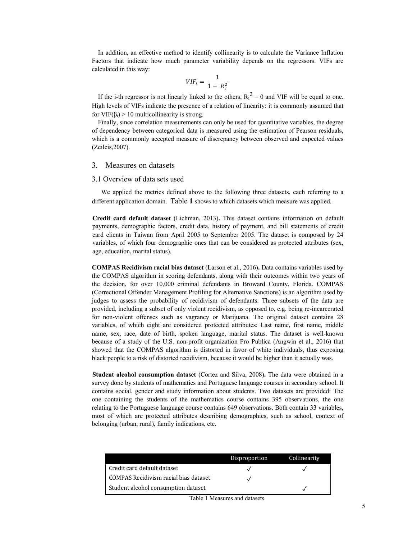In addition, an effective method to identify collinearity is to calculate the Variance Inflation Factors that indicate how much parameter variability depends on the regressors. VIFs are calculated in this way:

$$
VIF_i = \frac{1}{1 - R_i^2}
$$

If the i-th regressor is not linearly linked to the others,  $R_i^2 = 0$  and VIF will be equal to one. High levels of VIFs indicate the presence of a relation of linearity: it is commonly assumed that for  $VIF(\beta_i) > 10$  multicollinearity is strong.

Finally, since correlation measurements can only be used for quantitative variables, the degree of dependency between categorical data is measured using the estimation of Pearson residuals, which is a commonly accepted measure of discrepancy between observed and expected values (Zeileis,2007).

## 3. Measures on datasets

### 3.1 Overview of data sets used

We applied the metrics defined above to the following three datasets, each referring to a different application domain. Table **1** shows to which datasets which measure was applied.

**Credit card default dataset** (Lichman, 2013)**.** This dataset contains information on default payments, demographic factors, credit data, history of payment, and bill statements of credit card clients in Taiwan from April 2005 to September 2005. The dataset is composed by 24 variables, of which four demographic ones that can be considered as protected attributes (sex, age, education, marital status).

**COMPAS Recidivism racial bias dataset** (Larson et al., 2016)**.** Data contains variables used by the COMPAS algorithm in scoring defendants, along with their outcomes within two years of the decision, for over 10,000 criminal defendants in Broward County, Florida. COMPAS (Correctional Offender Management Profiling for Alternative Sanctions) is an algorithm used by judges to assess the probability of recidivism of defendants. Three subsets of the data are provided, including a subset of only violent recidivism, as opposed to, e.g. being re-incarcerated for non-violent offenses such as vagrancy or Marijuana. The original dataset contains 28 variables, of which eight are considered protected attributes: Last name, first name, middle name, sex, race, date of birth, spoken language, marital status. The dataset is well-known because of a study of the U.S. non-profit organization Pro Publica (Angwin et al., 2016) that showed that the COMPAS algorithm is distorted in favor of white individuals, thus exposing black people to a risk of distorted recidivism, because it would be higher than it actually was.

**Student alcohol consumption dataset** (Cortez and Silva, 2008)**.** The data were obtained in a survey done by students of mathematics and Portuguese language courses in secondary school. It contains social, gender and study information about students. Two datasets are provided: The one containing the students of the mathematics course contains 395 observations, the one relating to the Portuguese language course contains 649 observations. Both contain 33 variables, most of which are protected attributes describing demographics, such as school, context of belonging (urban, rural), family indications, etc.

|                                       | Disproportion | Collinearity |
|---------------------------------------|---------------|--------------|
| Credit card default dataset           |               |              |
| COMPAS Recidivism racial bias dataset |               |              |
| Student alcohol consumption dataset   |               |              |

Table 1 Measures and datasets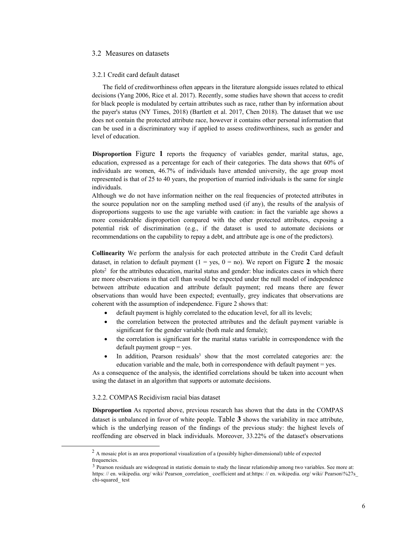#### 3.2 Measures on datasets

#### 3.2.1 Credit card default dataset

The field of creditworthiness often appears in the literature alongside issues related to ethical decisions (Yang 2006, Rice et al. 2017). Recently, some studies have shown that access to credit for black people is modulated by certain attributes such as race, rather than by information about the payer's status (NY Times, 2018) (Bartlett et al. 2017, Chen 2018). The dataset that we use does not contain the protected attribute race, however it contains other personal information that can be used in a discriminatory way if applied to assess creditworthiness, such as gender and level of education.

**Disproportion** Figure 1 reports the frequency of variables gender, marital status, age, education, expressed as a percentage for each of their categories. The data shows that 60% of individuals are women, 46.7% of individuals have attended university, the age group most represented is that of 25 to 40 years, the proportion of married individuals is the same for single individuals.

Although we do not have information neither on the real frequencies of protected attributes in the source population nor on the sampling method used (if any), the results of the analysis of disproportions suggests to use the age variable with caution: in fact the variable age shows a more considerable disproportion compared with the other protected attributes, exposing a potential risk of discrimination (e.g., if the dataset is used to automate decisions or recommendations on the capability to repay a debt, and attribute age is one of the predictors).

**Collinearity** We perform the analysis for each protected attribute in the Credit Card default dataset, in relation to default payment  $(1 = yes, 0 = no)$ . We report on Figure 2 the mosaic plots2 for the attributes education, marital status and gender: blue indicates cases in which there are more observations in that cell than would be expected under the null model of independence between attribute education and attribute default payment; red means there are fewer observations than would have been expected; eventually, grey indicates that observations are coherent with the assumption of independence. Figure 2 shows that:

- default payment is highly correlated to the education level, for all its levels;
- the correlation between the protected attributes and the default payment variable is significant for the gender variable (both male and female);
- the correlation is significant for the marital status variable in correspondence with the default payment group = yes.
- In addition, Pearson residuals<sup>3</sup> show that the most correlated categories are: the education variable and the male, both in correspondence with default payment = yes.

As a consequence of the analysis, the identified correlations should be taken into account when using the dataset in an algorithm that supports or automate decisions.

#### 3.2.2. COMPAS Recidivism racial bias dataset

**Disproportion** As reported above, previous research has shown that the data in the COMPAS dataset is unbalanced in favor of white people. Table **3** shows the variability in race attribute, which is the underlying reason of the findings of the previous study: the highest levels of reoffending are observed in black individuals. Moreover, 33.22% of the dataset's observations

<sup>&</sup>lt;sup>2</sup> A mosaic plot is an area proportional visualization of a (possibly higher-dimensional) table of expected frequencies.

<sup>&</sup>lt;sup>3</sup> Pearson residuals are widespread in statistic domain to study the linear relationship among two variables. See more at: https: // en. wikipedia. org/ wiki/ Pearson\_correlation\_ coefficient and at:https: // en. wikipedia. org/ wiki/ Pearson\%27s\_ chi-squared\_ test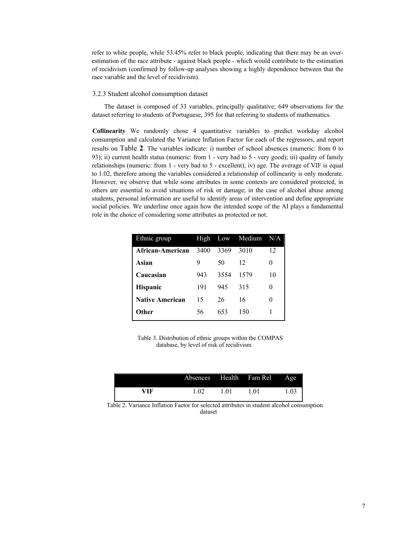refer to white people, while 53.45% refer to black people, indicating that there may be an overestimation of the race attribute - against black people - which would contribute to the estimation of recidivism (confirmed by follow-up analyses showing a highly dependence between that the race variable and the level of recidivism).

# 3.2.3 Student alcohol consumption dataset

The dataset is composed of 33 variables, principally qualitative; 649 observations for the dataset referring to students of Portuguese, 395 for that referring to students of mathematics.

**Collinearity** We randomly chose 4 quantitative variables to predict workday alcohol consumption and calculated the Variance Inflation Factor for each of the regressors, and report results on Table **2**. The variables indicate: i) number of school absences (numeric: from 0 to 93); ii) current health status (numeric: from 1 - very bad to 5 - very good); iii) quality of family relationships (numeric: from 1 - very bad to 5 - excellent); iv) age. The average of VIF is equal to 1.02, therefore among the variables considered a relationship of collinearity is only moderate. However, we observe that while some attributes in some contexts are considered protected, in others are essential to avoid situations of risk or damage; in the case of alcohol abuse among students, personal information are useful to identify areas of intervention and define appropriate social policies. We underline once again how the intended scope of the AI plays a fundamental role in the choice of considering some attributes as protected or not.

| Ethnic group           |      |      | High Low Medium N/A |              |
|------------------------|------|------|---------------------|--------------|
| African-American       | 3400 | 3369 | 3010                | 12           |
| Asian                  | 9    | 50   | 12                  | 0            |
| Caucasian              | 943  | 3554 | 1579                | 10           |
| <b>Hispanic</b>        | 191  | 945  | 315                 | $\mathbf{0}$ |
| <b>Native American</b> | 15   | 26   | 16                  | 0            |
| Other                  | 56   | 653  | 150                 | 1            |

Table 3. Distribution of ethnic groups within the COMPAS database, by level of risk of recidivism

|     |      |      | Absences Health Fam Rel Age |      |
|-----|------|------|-----------------------------|------|
| VIF | 1.02 | 1.01 | 1 01                        | 1.03 |

Table 2. Variance Inflation Factor for selected attributes in student alcohol consumption dataset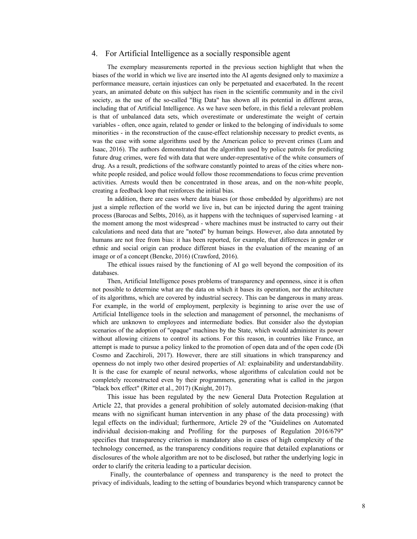# 4. For Artificial Intelligence as a socially responsible agent

The exemplary measurements reported in the previous section highlight that when the biases of the world in which we live are inserted into the AI agents designed only to maximize a performance measure, certain injustices can only be perpetuated and exacerbated. In the recent years, an animated debate on this subject has risen in the scientific community and in the civil society, as the use of the so-called "Big Data" has shown all its potential in different areas, including that of Artificial Intelligence. As we have seen before, in this field a relevant problem is that of unbalanced data sets, which overestimate or underestimate the weight of certain variables - often, once again, related to gender or linked to the belonging of individuals to some minorities - in the reconstruction of the cause-effect relationship necessary to predict events, as was the case with some algorithms used by the American police to prevent crimes (Lum and Isaac, 2016). The authors demonstrated that the algorithm used by police patrols for predicting future drug crimes, were fed with data that were under-representative of the white consumers of drug. As a result, predictions of the software constantly pointed to areas of the cities where nonwhite people resided, and police would follow those recommendations to focus crime prevention activities. Arrests would then be concentrated in those areas, and on the non-white people, creating a feedback loop that reinforces the initial bias.

In addition, there are cases where data biases (or those embedded by algorithms) are not just a simple reflection of the world we live in, but can be injected during the agent training process (Barocas and Selbts, 2016), as it happens with the techniques of supervised learning - at the moment among the most widespread - where machines must be instructed to carry out their calculations and need data that are "noted" by human beings. However, also data annotated by humans are not free from bias: it has been reported, for example, that differences in gender or ethnic and social origin can produce different biases in the evaluation of the meaning of an image or of a concept (Bencke, 2016) (Crawford, 2016).

The ethical issues raised by the functioning of AI go well beyond the composition of its databases.

Then, Artificial Intelligence poses problems of transparency and openness, since it is often not possible to determine what are the data on which it bases its operation, nor the architecture of its algorithms, which are covered by industrial secrecy. This can be dangerous in many areas. For example, in the world of employment, perplexity is beginning to arise over the use of Artificial Intelligence tools in the selection and management of personnel, the mechanisms of which are unknown to employees and intermediate bodies. But consider also the dystopian scenarios of the adoption of "opaque" machines by the State, which would administer its power without allowing citizens to control its actions. For this reason, in countries like France, an attempt is made to pursue a policy linked to the promotion of open data and of the open code (Di Cosmo and Zacchiroli, 2017). However, there are still situations in which transparency and openness do not imply two other desired properties of AI: explainability and understandability. It is the case for example of neural networks, whose algorithms of calculation could not be completely reconstructed even by their programmers, generating what is called in the jargon "black box effect" (Ritter et al., 2017) (Knight, 2017).

This issue has been regulated by the new General Data Protection Regulation at Article 22, that provides a general prohibition of solely automated decision-making (that means with no significant human intervention in any phase of the data processing) with legal effects on the individual; furthermore, Article 29 of the "Guidelines on Automated individual decision-making and Profiling for the purposes of Regulation 2016/679" specifies that transparency criterion is mandatory also in cases of high complexity of the technology concerned, as the transparency conditions require that detailed explanations or disclosures of the whole algorithm are not to be disclosed, but rather the underlying logic in order to clarify the criteria leading to a particular decision.

Finally, the counterbalance of openness and transparency is the need to protect the privacy of individuals, leading to the setting of boundaries beyond which transparency cannot be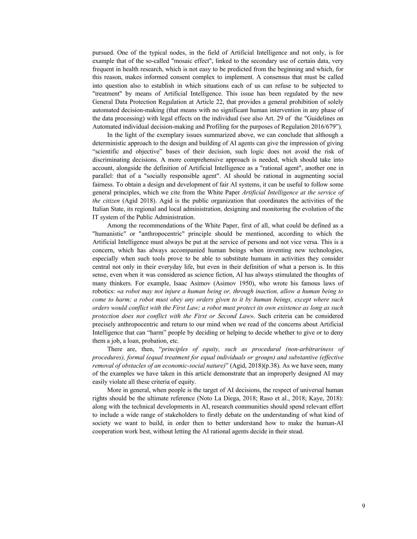pursued. One of the typical nodes, in the field of Artificial Intelligence and not only, is for example that of the so-called "mosaic effect", linked to the secondary use of certain data, very frequent in health research, which is not easy to be predicted from the beginning and which, for this reason, makes informed consent complex to implement. A consensus that must be called into question also to establish in which situations each of us can refuse to be subjected to "treatment" by means of Artificial Intelligence. This issue has been regulated by the new General Data Protection Regulation at Article 22, that provides a general prohibition of solely automated decision-making (that means with no significant human intervention in any phase of the data processing) with legal effects on the individual (see also Art. 29 of the "Guidelines on Automated individual decision-making and Profiling for the purposes of Regulation 2016/679").

In the light of the exemplary issues summarized above, we can conclude that although a deterministic approach to the design and building of AI agents can give the impression of giving "scientific and objective" bases of their decision, such logic does not avoid the risk of discriminating decisions. A more comprehensive approach is needed, which should take into account, alongside the definition of Artificial Intelligence as a "rational agent", another one in parallel: that of a "socially responsible agent". AI should be rational in augmenting social fairness. To obtain a design and development of fair AI systems, it can be useful to follow some general principles, which we cite from the White Paper *Artificial Intelligence at the service of the citizen* (Agid 2018). Agid is the public organization that coordinates the activities of the Italian State, its regional and local administration, designing and monitoring the evolution of the IT system of the Public Administration.

Among the recommendations of the White Paper, first of all, what could be defined as a "humanistic" or "anthropocentric" principle should be mentioned, according to which the Artificial Intelligence must always be put at the service of persons and not vice versa. This is a concern, which has always accompanied human beings when inventing new technologies, especially when such tools prove to be able to substitute humans in activities they consider central not only in their everyday life, but even in their definition of what a person is. In this sense, even when it was considered as science fiction, AI has always stimulated the thoughts of many thinkers. For example, Isaac Asimov (Asimov 1950), who wrote his famous laws of robotics: «*a robot may not injure a human being or, through inaction, allow a human being to come to harm; a robot must obey any orders given to it by human beings, except where such orders would conflict with the First Law; a robot must protect its own existence as long as such protection does not conflict with the First or Second Law*». Such criteria can be considered precisely anthropocentric and return to our mind when we read of the concerns about Artificial Intelligence that can "harm" people by deciding or helping to decide whether to give or to deny them a job, a loan, probation, etc.

There are, then, "*principles of equity, such as procedural (non-arbitrariness of procedures), formal (equal treatment for equal individuals or groups) and substantive (effective removal of obstacles of an economic-social nature)*" (Agid, 2018)(p.38). As we have seen, many of the examples we have taken in this article demonstrate that an improperly designed AI may easily violate all these criteria of equity.

More in general, when people is the target of AI decisions, the respect of universal human rights should be the ultimate reference (Noto La Diega, 2018; Raso et al., 2018; Kaye, 2018): along with the technical developments in AI, research communities should spend relevant effort to include a wide range of stakeholders to firstly debate on the understanding of what kind of society we want to build, in order then to better understand how to make the human-AI cooperation work best, without letting the AI rational agents decide in their stead.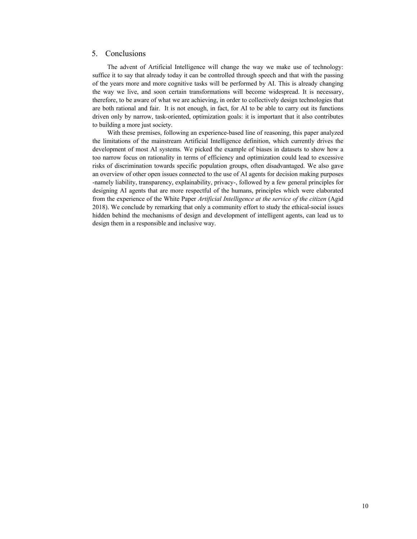# 5. Conclusions

The advent of Artificial Intelligence will change the way we make use of technology: suffice it to say that already today it can be controlled through speech and that with the passing of the years more and more cognitive tasks will be performed by AI. This is already changing the way we live, and soon certain transformations will become widespread. It is necessary, therefore, to be aware of what we are achieving, in order to collectively design technologies that are both rational and fair. It is not enough, in fact, for AI to be able to carry out its functions driven only by narrow, task-oriented, optimization goals: it is important that it also contributes to building a more just society.

With these premises, following an experience-based line of reasoning, this paper analyzed the limitations of the mainstream Artificial Intelligence definition, which currently drives the development of most AI systems. We picked the example of biases in datasets to show how a too narrow focus on rationality in terms of efficiency and optimization could lead to excessive risks of discrimination towards specific population groups, often disadvantaged. We also gave an overview of other open issues connected to the use of AI agents for decision making purposes -namely liability, transparency, explainability, privacy-, followed by a few general principles for designing AI agents that are more respectful of the humans, principles which were elaborated from the experience of the White Paper *Artificial Intelligence at the service of the citizen* (Agid 2018). We conclude by remarking that only a community effort to study the ethical-social issues hidden behind the mechanisms of design and development of intelligent agents, can lead us to design them in a responsible and inclusive way.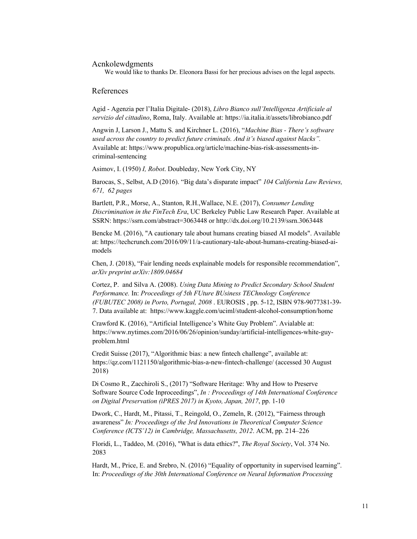# Acnkolewdgments

We would like to thanks Dr. Eleonora Bassi for her precious advises on the legal aspects.

# References

Agid - Agenzia per l'Italia Digitale- (2018), *Libro Bianco sull'Intelligenza Artificiale al servizio del cittadino*, Roma, Italy. Available at: https://ia.italia.it/assets/librobianco.pdf

Angwin J, Larson J., Mattu S. and Kirchner L. (2016), "*Machine Bias - There's software used across the country to predict future criminals. And it's biased against blacks".*  Available at: https://www.propublica.org/article/machine-bias-risk-assessments-incriminal-sentencing

Asimov, I. (1950) *I, Robot*. Doubleday, New York City, NY

Barocas, S., Selbst, A.D (2016). "Big data's disparate impact" *104 California Law Reviews, 671, 62 pages*

Bartlett, P.R., Morse, A., Stanton, R.H.,Wallace, N.E. (2017), *Consumer Lending Discrimination in the FinTech Era*, UC Berkeley Public Law Research Paper. Available at SSRN: https://ssrn.com/abstract=3063448 or http://dx.doi.org/10.2139/ssrn.3063448

Bencke M. (2016), "A cautionary tale about humans creating biased AI models". Available at: https://techcrunch.com/2016/09/11/a-cautionary-tale-about-humans-creating-biased-aimodels

Chen, J. (2018), "Fair lending needs explainable models for responsible recommendation", *arXiv preprint arXiv:1809.04684*

Cortez, P. and Silva A. (2008). *Using Data Mining to Predict Secondary School Student Performance.* In: *Proceedings of 5th FUture BUsiness TEChnology Conference (FUBUTEC 2008) in Porto, Portugal, 2008* . EUROSIS , pp. 5-12, ISBN 978-9077381-39- 7. Data available at: https://www.kaggle.com/uciml/student-alcohol-consumption/home

Crawford K. (2016), "Artificial Intelligence's White Guy Problem". Avialable at: https://www.nytimes.com/2016/06/26/opinion/sunday/artificial-intelligences-white-guyproblem.html

Credit Suisse (2017), "Algorithmic bias: a new fintech challenge", available at: https://qz.com/1121150/algorithmic-bias-a-new-fintech-challenge/ (accessed 30 August 2018)

Di Cosmo R., Zacchiroli S., (2017) "Software Heritage: Why and How to Preserve Software Source Code Inproceedings", *In : Proceedings of 14th International Conference on Digital Preservation (iPRES 2017) in Kyoto, Japan, 2017*, pp. 1-10

Dwork, C., Hardt, M., Pitassi, T., Reingold, O., Zemeln, R. (2012), "Fairness through awareness" *In: Proceedings of the 3rd Innovations in Theoretical Computer Science Conference (ICTS'12) in Cambridge, Massachusetts, 2012*. ACM, pp. 214–226

Floridi, L., Taddeo, M. (2016), "What is data ethics?", *The Royal Society*, Vol. 374 No. 2083

Hardt, M., Price, E. and Srebro, N. (2016) "Equality of opportunity in supervised learning". In: *Proceedings of the 30th International Conference on Neural Information Processing*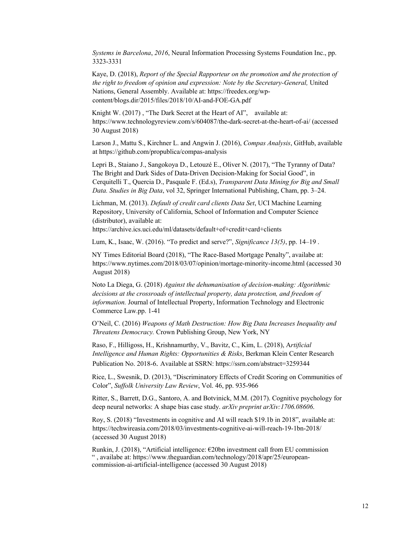*Systems in Barcelona*, *2016*, Neural Information Processing Systems Foundation Inc., pp. 3323-3331

Kaye, D. (2018), *Report of the Special Rapporteur on the promotion and the protection of the right to freedom of opinion and expression: Note by the Secretary-General,* United Nations, General Assembly. Available at: https://freedex.org/wpcontent/blogs.dir/2015/files/2018/10/AI-and-FOE-GA.pdf

Knight W. (2017), "The Dark Secret at the Heart of AI", available at: https://www.technologyreview.com/s/604087/the-dark-secret-at-the-heart-of-ai/ (accessed 30 August 2018)

Larson J., Mattu S., Kirchner L. and Angwin J. (2016), *Compas Analysis*, GitHub, available at https://github.com/propublica/compas-analysis

Lepri B., Staiano J., Sangokoya D., Letouzé E., Oliver N. (2017), "The Tyranny of Data? The Bright and Dark Sides of Data-Driven Decision-Making for Social Good", in Cerquitelli T., Quercia D., Pasquale F. (Ed.s), *Transparent Data Mining for Big and Small Data. Studies in Big Data*, vol 32, Springer International Publishing, Cham, pp. 3–24.

Lichman, M. (2013). *Default of credit card clients Data Set*, UCI Machine Learning Repository, University of California, School of Information and Computer Science (distributor), available at:

https://archive.ics.uci.edu/ml/datasets/default+of+credit+card+clients

Lum, K., Isaac, W. (2016). "To predict and serve?", *Significance 13(5)*, pp. 14–19 .

NY Times Editorial Board (2018), "The Race-Based Mortgage Penalty", availabe at: https://www.nytimes.com/2018/03/07/opinion/mortage-minority-income.html (accessed 30 August 2018)

Noto La Diega, G. (2018) *Against the dehumanisation of decision-making: Algorithmic decisions at the crossroads of intellectual property, data protection, and freedom of information.* Journal of Intellectual Property, Information Technology and Electronic Commerce Law.pp. 1-41

O'Neil, C. (2016) *Weapons of Math Destruction: How Big Data Increases Inequality and Threatens Democracy.* Crown Publishing Group, New York, NY

Raso, F., Hilligoss, H., Krishnamurthy, V., Bavitz, C., Kim, L. (2018), A*rtificial Intelligence and Human Rights: Opportunities & Risks*, Berkman Klein Center Research Publication No. 2018-6. Available at SSRN: https://ssrn.com/abstract=3259344

Rice, L., Swesnik, D. (2013), "Discriminatory Effects of Credit Scoring on Communities of Color", *Suffolk University Law Review*, Vol. 46, pp. 935-966

Ritter, S., Barrett, D.G., Santoro, A. and Botvinick, M.M. (2017). Cognitive psychology for deep neural networks: A shape bias case study. *arXiv preprint arXiv:1706.08606*.

Roy, S. (2018) "Investments in cognitive and AI will reach \$19.1b in 2018", available at: https://techwireasia.com/2018/03/investments-cognitive-ai-will-reach-19-1bn-2018/ (accessed 30 August 2018)

Runkin, J. (2018), "Artificial intelligence: €20bn investment call from EU commission " , availabe at: https://www.theguardian.com/technology/2018/apr/25/europeancommission-ai-artificial-intelligence (accessed 30 August 2018)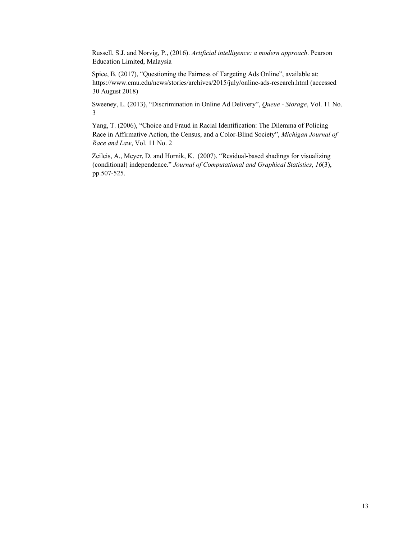Russell, S.J. and Norvig, P., (2016). *Artificial intelligence: a modern approach*. Pearson Education Limited, Malaysia

Spice, B. (2017), "Questioning the Fairness of Targeting Ads Online", available at: https://www.cmu.edu/news/stories/archives/2015/july/online-ads-research.html (accessed 30 August 2018)

Sweeney, L. (2013), "Discrimination in Online Ad Delivery", *Queue - Storage*, Vol. 11 No. 3

Yang, T. (2006), "Choice and Fraud in Racial Identification: The Dilemma of Policing Race in Affirmative Action, the Census, and a Color-Blind Society", *Michigan Journal of Race and Law*, Vol. 11 No. 2

Zeileis, A., Meyer, D. and Hornik, K. (2007). "Residual-based shadings for visualizing (conditional) independence." *Journal of Computational and Graphical Statistics*, *16*(3), pp.507-525.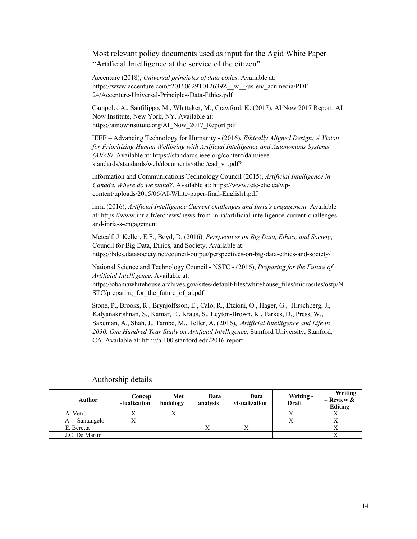Most relevant policy documents used as input for the Agid White Paper "Artificial Intelligence at the service of the citizen"

Accenture (2018), *Universal principles of data ethics*. Available at: https://www.accenture.com/t20160629T012639Z\_w\_/us-en/\_acnmedia/PDF-24/Accenture-Universal-Principles-Data-Ethics.pdf

Campolo, A., Sanfilippo, M., Whittaker, M., Crawford, K. (2017), AI Now 2017 Report, AI Now Institute, New York, NY. Available at: https://ainowinstitute.org/AI\_Now\_2017\_Report.pdf

IEEE – Advancing Technology for Humanity - (2016), *Ethically Aligned Design: A Vision for Prioritizing Human Wellbeing with Artificial Intelligence and Autonomous Systems (AI/AS)*. Available at: https://standards.ieee.org/content/dam/ieeestandards/standards/web/documents/other/ead\_v1.pdf?

Information and Communications Technology Council (2015), *Artificial Intelligence in Canada. Where do we stand?*. Available at: https://www.ictc-ctic.ca/wpcontent/uploads/2015/06/AI-White-paper-final-English1.pdf

Inria (2016), *Artificial Intelligence Current challenges and Inria's engagement.* Available at: https://www.inria.fr/en/news/news-from-inria/artificial-intelligence-current-challengesand-inria-s-engagement

Metcalf, J. Keller, E.F., Boyd, D. (2016), *Perspectives on Big Data, Ethics, and Society*, Council for Big Data, Ethics, and Society. Available at: https://bdes.datasociety.net/council-output/perspectives-on-big-data-ethics-and-society/

National Science and Technology Council - NSTC - (2016), *Preparing for the Future of Artificial Intelligence.* Available at:

https://obamawhitehouse.archives.gov/sites/default/files/whitehouse\_files/microsites/ostp/N STC/preparing for the future of ai.pdf

Stone, P., Brooks, R., Brynjolfsson, E., Calo, R., Etzioni, O., Hager, G., Hirschberg, J., Kalyanakrishnan, S., Kamar, E., Kraus, S., Leyton-Brown, K., Parkes, D., Press, W., Saxenian, A., Shah, J., Tambe, M., Teller, A. (2016), *Artificial Intelligence and Life in 2030. One Hundred Year Study on Artificial Intelligence*, Stanford University, Stanford, CA. Available at: http://ai100.stanford.edu/2016-report

| Author           | Concep<br>-tualization | Met<br>hodology | Data<br>analysis | Data<br>visualization | Writing -<br><b>Draft</b> | Writing<br>$-$ Review $\&$<br>Editing |
|------------------|------------------------|-----------------|------------------|-----------------------|---------------------------|---------------------------------------|
| A. Vetrò         |                        |                 |                  |                       |                           |                                       |
| Santangelo<br>А. |                        |                 |                  |                       | ∡                         |                                       |
| E. Beretta       |                        |                 |                  |                       |                           |                                       |
| J.C. De Martin   |                        |                 |                  |                       |                           |                                       |

# Authorship details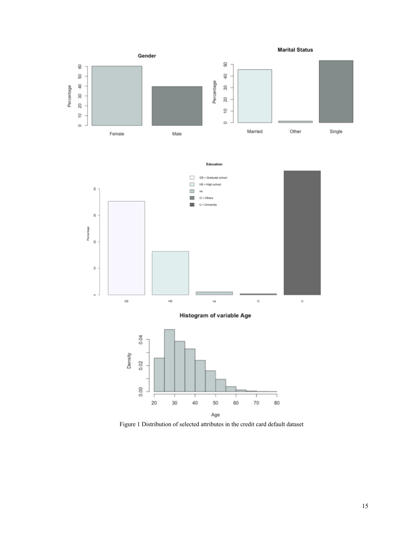

Figure 1 Distribution of selected attributes in the credit card default dataset